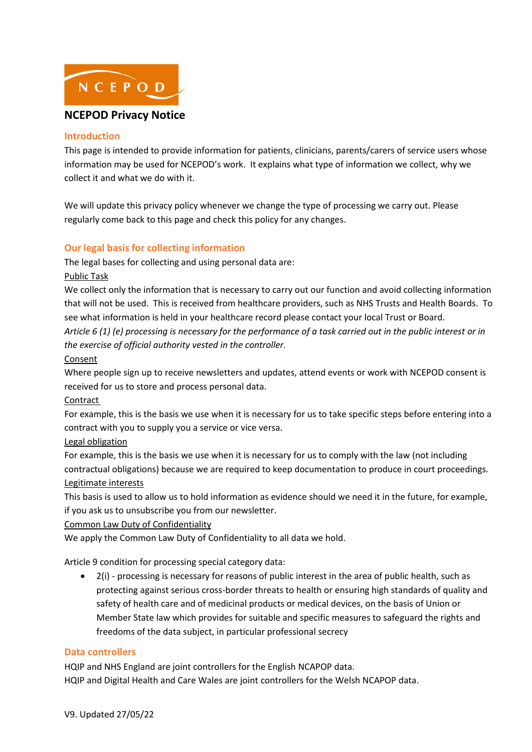

# **NCEPOD Privacy Notice**

#### **Introduction**

This page is intended to provide information for patients, clinicians, parents/carers of service users whose information may be used for NCEPOD's work. It explains what type of information we collect, why we collect it and what we do with it.

We will update this privacy policy whenever we change the type of processing we carry out. Please regularly come back to this page and check this policy for any changes.

# **Our legal basis for collecting information**

The legal bases for collecting and using personal data are:

Public Task

We collect only the information that is necessary to carry out our function and avoid collecting information that will not be used. This is received from healthcare providers, such as NHS Trusts and Health Boards. To see what information is held in your healthcare record please contact your local Trust or Board. *Article 6 (1) (e) processing is necessary for the performance of a task carried out in the public interest or in the exercise of official authority vested in the controller.* 

Consent

Where people sign up to receive newsletters and updates, attend events or work with NCEPOD consent is received for us to store and process personal data.

Contract

For example, this is the basis we use when it is necessary for us to take specific steps before entering into a contract with you to supply you a service or vice versa.

Legal obligation

For example, this is the basis we use when it is necessary for us to comply with the law (not including contractual obligations) because we are required to keep documentation to produce in court proceedings. Legitimate interests

This basis is used to allow us to hold information as evidence should we need it in the future, for example, if you ask us to unsubscribe you from our newsletter.

Common Law Duty of Confidentiality

We apply the Common Law Duty of Confidentiality to all data we hold.

Article 9 condition for processing special category data:

• 2(i) - processing is necessary for reasons of public interest in the area of public health, such as protecting against serious cross-border threats to health or ensuring high standards of quality and safety of health care and of medicinal products or medical devices, on the basis of Union or Member State law which provides for suitable and specific measures to safeguard the rights and freedoms of the data subject, in particular professional secrecy

## **Data controllers**

HQIP and NHS England are joint controllers for the English NCAPOP data. HQIP and Digital Health and Care Wales are joint controllers for the Welsh NCAPOP data.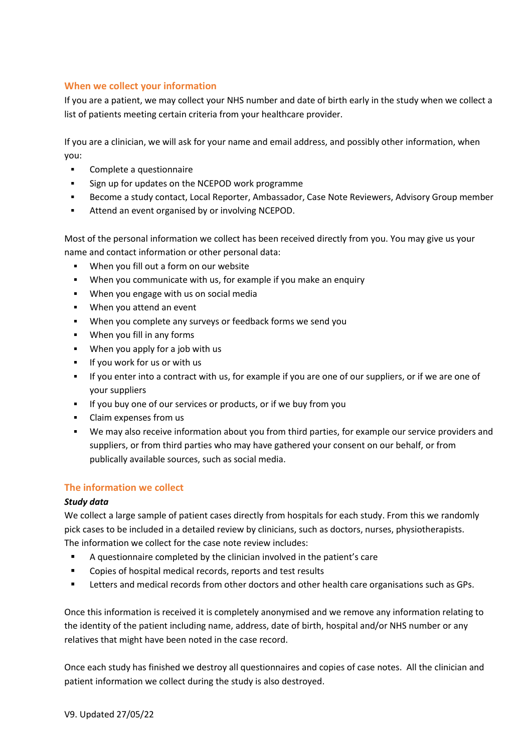# **When we collect your information**

If you are a patient, we may collect your NHS number and date of birth early in the study when we collect a list of patients meeting certain criteria from your healthcare provider.

If you are a clinician, we will ask for your name and email address, and possibly other information, when you:

- Complete a questionnaire
- Sign up for updates on the NCEPOD work programme
- **Become a study contact, Local Reporter, Ambassador, Case Note Reviewers, Advisory Group member**
- Attend an event organised by or involving NCEPOD.

Most of the personal information we collect has been received directly from you. You may give us your name and contact information or other personal data:

- When you fill out a form on our website
- When you communicate with us, for example if you make an enquiry
- When you engage with us on social media
- When you attend an event
- When you complete any surveys or feedback forms we send you
- When you fill in any forms
- When you apply for a job with us
- If you work for us or with us
- If you enter into a contract with us, for example if you are one of our suppliers, or if we are one of your suppliers
- If you buy one of our services or products, or if we buy from you
- Claim expenses from us
- We may also receive information about you from third parties, for example our service providers and suppliers, or from third parties who may have gathered your consent on our behalf, or from publically available sources, such as social media.

## **The information we collect**

## *Study data*

We collect a large sample of patient cases directly from hospitals for each study. From this we randomly pick cases to be included in a detailed review by clinicians, such as doctors, nurses, physiotherapists. The information we collect for the case note review includes:

- A questionnaire completed by the clinician involved in the patient's care
- Copies of hospital medical records, reports and test results
- Letters and medical records from other doctors and other health care organisations such as GPs.

Once this information is received it is completely anonymised and we remove any information relating to the identity of the patient including name, address, date of birth, hospital and/or NHS number or any relatives that might have been noted in the case record.

Once each study has finished we destroy all questionnaires and copies of case notes. All the clinician and patient information we collect during the study is also destroyed.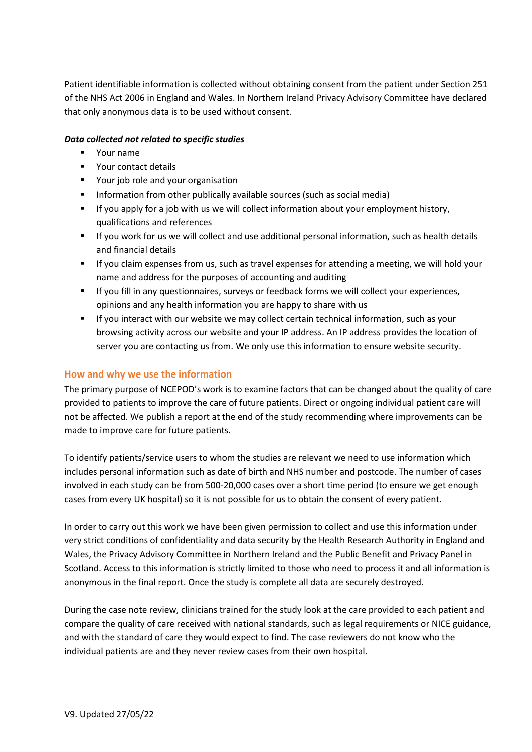Patient identifiable information is collected without obtaining consent from the patient under Section 251 of the NHS Act 2006 in England and Wales. In Northern Ireland Privacy Advisory Committee have declared that only anonymous data is to be used without consent.

#### *Data collected not related to specific studies*

- Your name
- Your contact details
- Your job role and your organisation
- **■** Information from other publically available sources (such as social media)
- **■** If you apply for a job with us we will collect information about your employment history, qualifications and references
- If you work for us we will collect and use additional personal information, such as health details and financial details
- If you claim expenses from us, such as travel expenses for attending a meeting, we will hold your name and address for the purposes of accounting and auditing
- If you fill in any questionnaires, surveys or feedback forms we will collect your experiences, opinions and any health information you are happy to share with us
- If you interact with our website we may collect certain technical information, such as your browsing activity across our website and your IP address. An IP address provides the location of server you are contacting us from. We only use this information to ensure website security.

## **How and why we use the information**

The primary purpose of NCEPOD's work is to examine factors that can be changed about the quality of care provided to patients to improve the care of future patients. Direct or ongoing individual patient care will not be affected. We publish a report at the end of the study recommending where improvements can be made to improve care for future patients.

To identify patients/service users to whom the studies are relevant we need to use information which includes personal information such as date of birth and NHS number and postcode. The number of cases involved in each study can be from 500-20,000 cases over a short time period (to ensure we get enough cases from every UK hospital) so it is not possible for us to obtain the consent of every patient.

In order to carry out this work we have been given permission to collect and use this information under very strict conditions of confidentiality and data security by the Health Research Authority in England and Wales, the Privacy Advisory Committee in Northern Ireland and the Public Benefit and Privacy Panel in Scotland. Access to this information is strictly limited to those who need to process it and all information is anonymous in the final report. Once the study is complete all data are securely destroyed.

During the case note review, clinicians trained for the study look at the care provided to each patient and compare the quality of care received with national standards, such as legal requirements or NICE guidance, and with the standard of care they would expect to find. The case reviewers do not know who the individual patients are and they never review cases from their own hospital.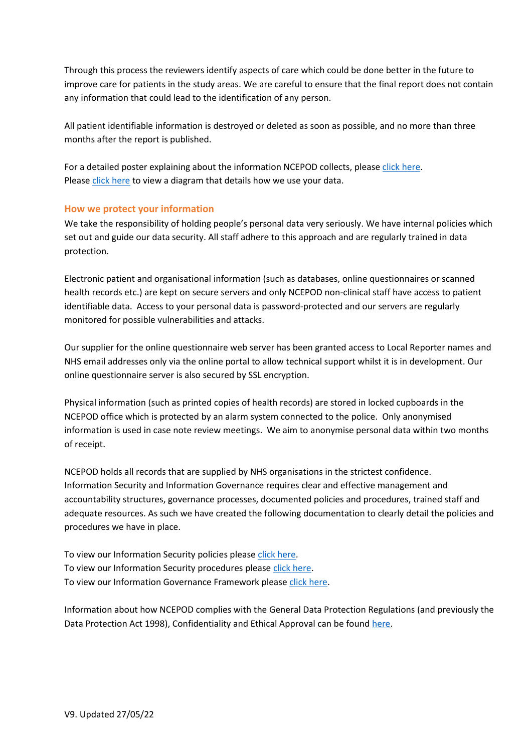Through this process the reviewers identify aspects of care which could be done better in the future to improve care for patients in the study areas. We are careful to ensure that the final report does not contain any information that could lead to the identification of any person.

All patient identifiable information is destroyed or deleted as soon as possible, and no more than three months after the report is published.

For a detailed poster explaining about the information NCEPOD collects, please [click here.](http://www.ncepod.org.uk/pdf/current/NCEPODdataCollectionPoster.pdf) Please [click here](http://www.ncepod.org.uk/pdf/resources/DataFlow.pdf) to view a diagram that details how we use your data.

## **How we protect your information**

We take the responsibility of holding people's personal data very seriously. We have internal policies which set out and guide our data security. All staff adhere to this approach and are regularly trained in data protection.

Electronic patient and organisational information (such as databases, online questionnaires or scanned health records etc.) are kept on secure servers and only NCEPOD non-clinical staff have access to patient identifiable data. Access to your personal data is password-protected and our servers are regularly monitored for possible vulnerabilities and attacks.

Our supplier for the online questionnaire web server has been granted access to Local Reporter names and NHS email addresses only via the online portal to allow technical support whilst it is in development. Our online questionnaire server is also secured by SSL encryption.

Physical information (such as printed copies of health records) are stored in locked cupboards in the NCEPOD office which is protected by an alarm system connected to the police. Only anonymised information is used in case note review meetings. We aim to anonymise personal data within two months of receipt.

NCEPOD holds all records that are supplied by NHS organisations in the strictest confidence. Information Security and Information Governance requires clear and effective management and accountability structures, governance processes, documented policies and procedures, trained staff and adequate resources. As such we have created the following documentation to clearly detail the policies and procedures we have in place.

To view our Information Security policies pleas[e click here.](http://www.ncepod.org.uk/pdf/resources/NCEPODInformationSecurityPolicy_extract.pdf) To view our Information Security procedures pleas[e click here.](http://www.ncepod.org.uk/pdf/resources/NCEPODInformationSecurityProcedures.pdf) To view our Information Governance Framework please [click here.](http://www.ncepod.org.uk/pdf/resources/NCEPODInformationGovernanceManagementFramework.pdf)

Information about how NCEPOD complies with the General Data Protection Regulations (and previously the Data Protection Act 1998), Confidentiality and Ethical Approval can be found [here.](http://www.ncepod.org.uk/confidentiality.html)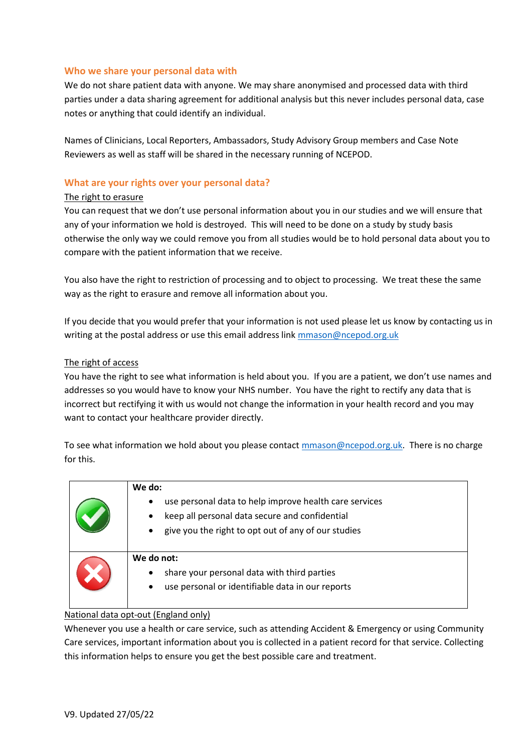#### **Who we share your personal data with**

We do not share patient data with anyone. We may share anonymised and processed data with third parties under a data sharing agreement for additional analysis but this never includes personal data, case notes or anything that could identify an individual.

Names of Clinicians, Local Reporters, Ambassadors, Study Advisory Group members and Case Note Reviewers as well as staff will be shared in the necessary running of NCEPOD.

#### **What are your rights over your personal data?**

#### The right to erasure

You can request that we don't use personal information about you in our studies and we will ensure that any of your information we hold is destroyed. This will need to be done on a study by study basis otherwise the only way we could remove you from all studies would be to hold personal data about you to compare with the patient information that we receive.

You also have the right to restriction of processing and to object to processing. We treat these the same way as the right to erasure and remove all information about you.

If you decide that you would prefer that your information is not used please let us know by contacting us in writing at the postal address or use this email address link [mmason@ncepod.org.uk](mailto:mmason@ncepod.org.uk)

#### The right of access

You have the right to see what information is held about you. If you are a patient, we don't use names and addresses so you would have to know your NHS number. You have the right to rectify any data that is incorrect but rectifying it with us would not change the information in your health record and you may want to contact your healthcare provider directly.

To see what information we hold about you please contac[t mmason@ncepod.org.uk.](mailto:mmason@ncepod.org.uk) There is no charge for this.

| We do:<br>use personal data to help improve health care services<br>$\bullet$<br>keep all personal data secure and confidential<br>$\bullet$<br>give you the right to opt out of any of our studies<br>$\bullet$ |
|------------------------------------------------------------------------------------------------------------------------------------------------------------------------------------------------------------------|
| We do not:<br>share your personal data with third parties<br>$\bullet$<br>use personal or identifiable data in our reports<br>$\bullet$                                                                          |

#### National data opt-out (England only)

Whenever you use a health or care service, such as attending Accident & Emergency or using Community Care services, important information about you is collected in a patient record for that service. Collecting this information helps to ensure you get the best possible care and treatment.